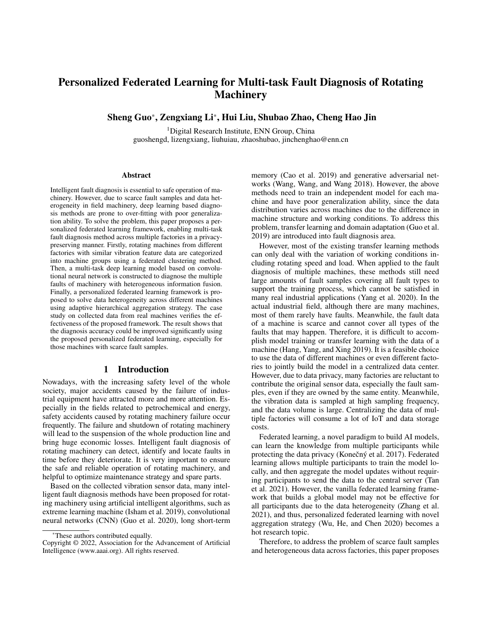# Personalized Federated Learning for Multi-task Fault Diagnosis of Rotating **Machinery**

Sheng Guo\*, Zengxiang Li\*, Hui Liu, Shubao Zhao, Cheng Hao Jin

<sup>1</sup>Digital Research Institute, ENN Group, China guoshengd, lizengxiang, liuhuiau, zhaoshubao, jinchenghao@enn.cn

#### Abstract

Intelligent fault diagnosis is essential to safe operation of machinery. However, due to scarce fault samples and data heterogeneity in field machinery, deep learning based diagnosis methods are prone to over-fitting with poor generalization ability. To solve the problem, this paper proposes a personalized federated learning framework, enabling multi-task fault diagnosis method across multiple factories in a privacypreserving manner. Firstly, rotating machines from different factories with similar vibration feature data are categorized into machine groups using a federated clustering method. Then, a multi-task deep learning model based on convolutional neural network is constructed to diagnose the multiple faults of machinery with heterogeneous information fusion. Finally, a personalized federated learning framework is proposed to solve data heterogeneity across different machines using adaptive hierarchical aggregation strategy. The case study on collected data from real machines verifies the effectiveness of the proposed framework. The result shows that the diagnosis accuracy could be improved significantly using the proposed personalized federated learning, especially for those machines with scarce fault samples.

#### 1 Introduction

Nowadays, with the increasing safety level of the whole society, major accidents caused by the failure of industrial equipment have attracted more and more attention. Especially in the fields related to petrochemical and energy, safety accidents caused by rotating machinery failure occur frequently. The failure and shutdown of rotating machinery will lead to the suspension of the whole production line and bring huge economic losses. Intelligent fault diagnosis of rotating machinery can detect, identify and locate faults in time before they deteriorate. It is very important to ensure the safe and reliable operation of rotating machinery, and helpful to optimize maintenance strategy and spare parts.

Based on the collected vibration sensor data, many intelligent fault diagnosis methods have been proposed for rotating machinery using artificial intelligent algorithms, such as extreme learning machine (Isham et al. 2019), convolutional neural networks (CNN) (Guo et al. 2020), long short-term memory (Cao et al. 2019) and generative adversarial networks (Wang, Wang, and Wang 2018). However, the above methods need to train an independent model for each machine and have poor generalization ability, since the data distribution varies across machines due to the difference in machine structure and working conditions. To address this problem, transfer learning and domain adaptation (Guo et al. 2019) are introduced into fault diagnosis area.

However, most of the existing transfer learning methods can only deal with the variation of working conditions including rotating speed and load. When applied to the fault diagnosis of multiple machines, these methods still need large amounts of fault samples covering all fault types to support the training process, which cannot be satisfied in many real industrial applications (Yang et al. 2020). In the actual industrial field, although there are many machines, most of them rarely have faults. Meanwhile, the fault data of a machine is scarce and cannot cover all types of the faults that may happen. Therefore, it is difficult to accomplish model training or transfer learning with the data of a machine (Hang, Yang, and Xing 2019). It is a feasible choice to use the data of different machines or even different factories to jointly build the model in a centralized data center. However, due to data privacy, many factories are reluctant to contribute the original sensor data, especially the fault samples, even if they are owned by the same entity. Meanwhile, the vibration data is sampled at high sampling frequency, and the data volume is large. Centralizing the data of multiple factories will consume a lot of IoT and data storage costs.

Federated learning, a novel paradigm to build AI models, can learn the knowledge from multiple participants while protecting the data privacy (Konečný et al. 2017). Federated learning allows multiple participants to train the model locally, and then aggregate the model updates without requiring participants to send the data to the central server (Tan et al. 2021). However, the vanilla federated learning framework that builds a global model may not be effective for all participants due to the data heterogeneity (Zhang et al. 2021), and thus, personalized federated learning with novel aggregation strategy (Wu, He, and Chen 2020) becomes a hot research topic.

Therefore, to address the problem of scarce fault samples and heterogeneous data across factories, this paper proposes

<sup>\*</sup>These authors contributed equally.

Copyright © 2022, Association for the Advancement of Artificial Intelligence (www.aaai.org). All rights reserved.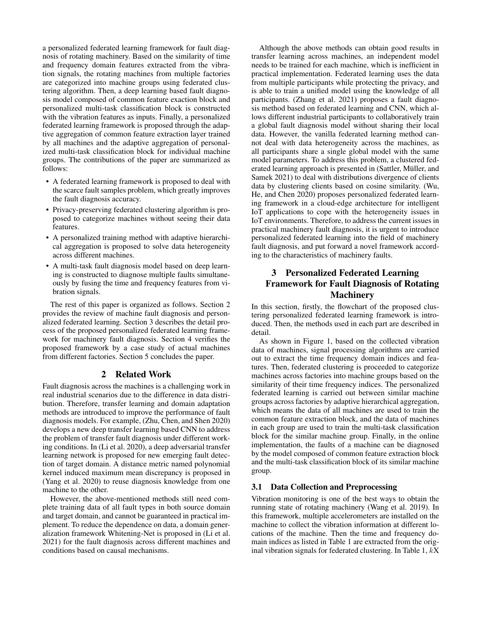a personalized federated learning framework for fault diagnosis of rotating machinery. Based on the similarity of time and frequency domain features extracted from the vibration signals, the rotating machines from multiple factories are categorized into machine groups using federated clustering algorithm. Then, a deep learning based fault diagnosis model composed of common feature exaction block and personalized multi-task classification block is constructed with the vibration features as inputs. Finally, a personalized federated learning framework is proposed through the adaptive aggregation of common feature extraction layer trained by all machines and the adaptive aggregation of personalized multi-task classification block for individual machine groups. The contributions of the paper are summarized as follows:

- A federated learning framework is proposed to deal with the scarce fault samples problem, which greatly improves the fault diagnosis accuracy.
- Privacy-preserving federated clustering algorithm is proposed to categorize machines without seeing their data features.
- A personalized training method with adaptive hierarchical aggregation is proposed to solve data heterogeneity across different machines.
- A multi-task fault diagnosis model based on deep learning is constructed to diagnose multiple faults simultaneously by fusing the time and frequency features from vibration signals.

The rest of this paper is organized as follows. Section 2 provides the review of machine fault diagnosis and personalized federated learning. Section 3 describes the detail process of the proposed personalized federated learning framework for machinery fault diagnosis. Section 4 verifies the proposed framework by a case study of actual machines from different factories. Section 5 concludes the paper.

#### 2 Related Work

Fault diagnosis across the machines is a challenging work in real industrial scenarios due to the difference in data distribution. Therefore, transfer learning and domain adaptation methods are introduced to improve the performance of fault diagnosis models. For example, (Zhu, Chen, and Shen 2020) develops a new deep transfer learning based CNN to address the problem of transfer fault diagnosis under different working conditions. In (Li et al. 2020), a deep adversarial transfer learning network is proposed for new emerging fault detection of target domain. A distance metric named polynomial kernel induced maximum mean discrepancy is proposed in (Yang et al. 2020) to reuse diagnosis knowledge from one machine to the other.

However, the above-mentioned methods still need complete training data of all fault types in both source domain and target domain, and cannot be guaranteed in practical implement. To reduce the dependence on data, a domain generalization framework Whitening-Net is proposed in (Li et al. 2021) for the fault diagnosis across different machines and conditions based on causal mechanisms.

Although the above methods can obtain good results in transfer learning across machines, an independent model needs to be trained for each machine, which is inefficient in practical implementation. Federated learning uses the data from multiple participants while protecting the privacy, and is able to train a unified model using the knowledge of all participants. (Zhang et al. 2021) proposes a fault diagnosis method based on federated learning and CNN, which allows different industrial participants to collaboratively train a global fault diagnosis model without sharing their local data. However, the vanilla federated learning method cannot deal with data heterogeneity across the machines, as all participants share a single global model with the same model parameters. To address this problem, a clustered federated learning approach is presented in (Sattler, Müller, and Samek 2021) to deal with distributions divergence of clients data by clustering clients based on cosine similarity. (Wu, He, and Chen 2020) proposes personalized federated learning framework in a cloud-edge architecture for intelligent IoT applications to cope with the heterogeneity issues in IoT environments. Therefore, to address the current issues in practical machinery fault diagnosis, it is urgent to introduce personalized federated learning into the field of machinery fault diagnosis, and put forward a novel framework according to the characteristics of machinery faults.

## 3 Personalized Federated Learning Framework for Fault Diagnosis of Rotating **Machinery**

In this section, firstly, the flowchart of the proposed clustering personalized federated learning framework is introduced. Then, the methods used in each part are described in detail.

As shown in Figure 1, based on the collected vibration data of machines, signal processing algorithms are carried out to extract the time frequency domain indices and features. Then, federated clustering is proceeded to categorize machines across factories into machine groups based on the similarity of their time frequency indices. The personalized federated learning is carried out between similar machine groups across factories by adaptive hierarchical aggregation, which means the data of all machines are used to train the common feature extraction block, and the data of machines in each group are used to train the multi-task classification block for the similar machine group. Finally, in the online implementation, the faults of a machine can be diagnosed by the model composed of common feature extraction block and the multi-task classification block of its similar machine group.

### 3.1 Data Collection and Preprocessing

Vibration monitoring is one of the best ways to obtain the running state of rotating machinery (Wang et al. 2019). In this framework, multiple accelerometers are installed on the machine to collect the vibration information at different locations of the machine. Then the time and frequency domain indices as listed in Table 1 are extracted from the original vibration signals for federated clustering. In Table  $1, kX$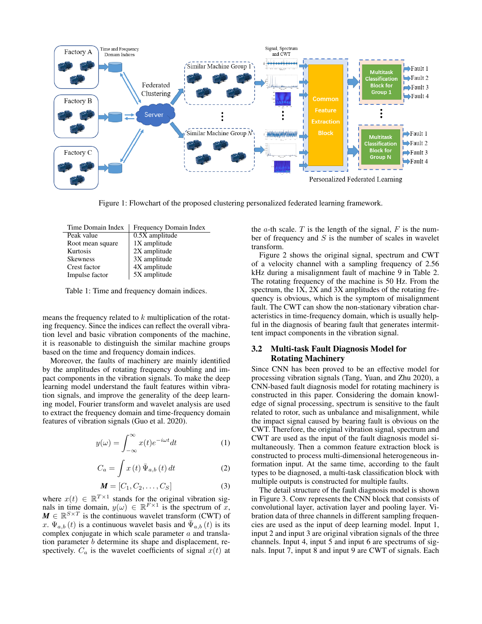

Figure 1: Flowchart of the proposed clustering personalized federated learning framework.

| Frequency Domain Index |
|------------------------|
| $0.5X$ amplitude       |
| 1X amplitude           |
| 2X amplitude           |
| 3X amplitude           |
| 4X amplitude           |
| 5X amplitude           |
|                        |

Table 1: Time and frequency domain indices.

means the frequency related to k multiplication of the rotating frequency. Since the indices can reflect the overall vibration level and basic vibration components of the machine, it is reasonable to distinguish the similar machine groups based on the time and frequency domain indices.

Moreover, the faults of machinery are mainly identified by the amplitudes of rotating frequency doubling and impact components in the vibration signals. To make the deep learning model understand the fault features within vibration signals, and improve the generality of the deep learning model, Fourier transform and wavelet analysis are used to extract the frequency domain and time-frequency domain features of vibration signals (Guo et al. 2020).

$$
y(\omega) = \int_{-\infty}^{\infty} x(t)e^{-i\omega t}dt
$$
 (1)

$$
C_a = \int x(t) \,\overline{\Psi}_{a,b}(t) \, dt \tag{2}
$$

$$
\mathbf{M} = [C_1, C_2, \dots, C_S]
$$
 (3)

where  $x(t) \in \mathbb{R}^{T \times 1}$  stands for the original vibration signals in time domain,  $y(\omega) \in \mathbb{R}^{F \times 1}$  is the spectrum of x,  $M \in \mathbb{R}^{S \times T}$  is the continuous wavelet transform (CWT) of x.  $\Psi_{a,b}(t)$  is a continuous wavelet basis and  $\bar{\Psi}_{a,b}(t)$  is its complex conjugate in which scale parameter  $a$  and translation parameter b determine its shape and displacement, respectively.  $C_a$  is the wavelet coefficients of signal  $x(t)$  at

the  $a$ -th scale.  $T$  is the length of the signal,  $F$  is the number of frequency and  $S$  is the number of scales in wavelet transform.

Figure 2 shows the original signal, spectrum and CWT of a velocity channel with a sampling frequency of 2.56 kHz during a misalignment fault of machine 9 in Table 2. The rotating frequency of the machine is 50 Hz. From the spectrum, the 1X, 2X and 3X amplitudes of the rotating frequency is obvious, which is the symptom of misalignment fault. The CWT can show the non-stationary vibration characteristics in time-frequency domain, which is usually helpful in the diagnosis of bearing fault that generates intermittent impact components in the vibration signal.

#### 3.2 Multi-task Fault Diagnosis Model for Rotating Machinery

Since CNN has been proved to be an effective model for processing vibration signals (Tang, Yuan, and Zhu 2020), a CNN-based fault diagnosis model for rotating machinery is constructed in this paper. Considering the domain knowledge of signal processing, spectrum is sensitive to the fault related to rotor, such as unbalance and misalignment, while the impact signal caused by bearing fault is obvious on the CWT. Therefore, the original vibration signal, spectrum and CWT are used as the input of the fault diagnosis model simultaneously. Then a common feature extraction block is constructed to process multi-dimensional heterogeneous information input. At the same time, according to the fault types to be diagnosed, a multi-task classification block with multiple outputs is constructed for multiple faults.

The detail structure of the fault diagnosis model is shown in Figure 3. Conv represents the CNN block that consists of convolutional layer, activation layer and pooling layer. Vibration data of three channels in different sampling frequencies are used as the input of deep learning model. Input 1, input 2 and input 3 are original vibration signals of the three channels. Input 4, input 5 and input 6 are spectrums of signals. Input 7, input 8 and input 9 are CWT of signals. Each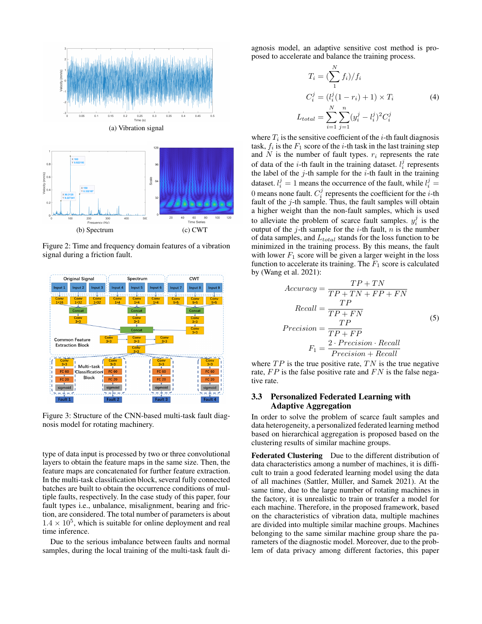

Figure 2: Time and frequency domain features of a vibration signal during a friction fault.



Figure 3: Structure of the CNN-based multi-task fault diagnosis model for rotating machinery.

type of data input is processed by two or three convolutional layers to obtain the feature maps in the same size. Then, the feature maps are concatenated for further feature extraction. In the multi-task classification block, several fully connected batches are built to obtain the occurrence conditions of multiple faults, respectively. In the case study of this paper, four fault types i.e., unbalance, misalignment, bearing and friction, are considered. The total number of parameters is about  $1.4 \times 10^5$ , which is suitable for online deployment and real time inference.

Due to the serious imbalance between faults and normal samples, during the local training of the multi-task fault di-

agnosis model, an adaptive sensitive cost method is proposed to accelerate and balance the training process.

$$
T_i = \left(\sum_{1}^{N} f_i\right) / f_i
$$
  
\n
$$
C_i^j = (l_i^j (1 - r_i) + 1) \times T_i
$$
  
\n
$$
L_{total} = \sum_{i=1}^{N} \sum_{j=1}^{n} (y_i^j - l_i^j)^2 C_i^j
$$
 (4)

where  $T_i$  is the sensitive coefficient of the *i*-th fault diagnosis task,  $f_i$  is the  $F_1$  score of the *i*-th task in the last training step and  $N$  is the number of fault types.  $r_i$  represents the rate of data of the *i*-th fault in the training dataset.  $l_i^j$  represents the label of the  $j$ -th sample for the  $i$ -th fault in the training dataset.  $l_i^j = 1$  means the occurrence of the fault, while  $l_i^j =$ 0 means none fault.  $C_i^j$  represents the coefficient for the *i*-th fault of the  $j$ -th sample. Thus, the fault samples will obtain a higher weight than the non-fault samples, which is used to alleviate the problem of scarce fault samples.  $y_i^j$  is the output of the  $j$ -th sample for the  $i$ -th fault,  $n$  is the number of data samples, and  $L_{total}$  stands for the loss function to be minimized in the training process. By this means, the fault with lower  $F_1$  score will be given a larger weight in the loss function to accelerate its training. The  $F_1$  score is calculated by (Wang et al. 2021):

$$
Accuracy = \frac{TP + TN}{TP + TN + FP + FN}
$$

$$
Recall = \frac{TP}{TP + FN}
$$
(5)
$$
Precision = \frac{TP}{TP + FP}
$$

$$
F_1 = \frac{2 \cdot Precision \cdot Recall}{Precision + Recall}
$$

where  $TP$  is the true positive rate,  $TN$  is the true negative rate,  $FP$  is the false positive rate and  $FN$  is the false negative rate.

#### 3.3 Personalized Federated Learning with Adaptive Aggregation

In order to solve the problem of scarce fault samples and data heterogeneity, a personalized federated learning method based on hierarchical aggregation is proposed based on the clustering results of similar machine groups.

Federated Clustering Due to the different distribution of data characteristics among a number of machines, it is difficult to train a good federated learning model using the data of all machines (Sattler, Müller, and Samek 2021). At the same time, due to the large number of rotating machines in the factory, it is unrealistic to train or transfer a model for each machine. Therefore, in the proposed framework, based on the characteristics of vibration data, multiple machines are divided into multiple similar machine groups. Machines belonging to the same similar machine group share the parameters of the diagnostic model. Moreover, due to the problem of data privacy among different factories, this paper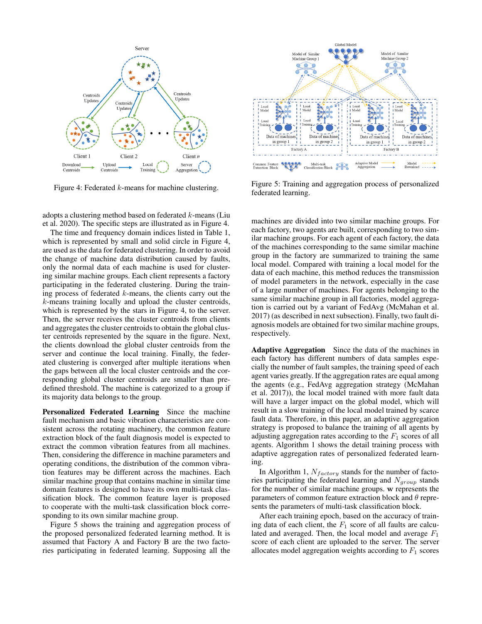

Figure 4: Federated k-means for machine clustering.

adopts a clustering method based on federated k-means (Liu et al. 2020). The specific steps are illustrated as in Figure 4.

The time and frequency domain indices listed in Table 1, which is represented by small and solid circle in Figure 4, are used as the data for federated clustering. In order to avoid the change of machine data distribution caused by faults, only the normal data of each machine is used for clustering similar machine groups. Each client represents a factory participating in the federated clustering. During the training process of federated  $k$ -means, the clients carry out the k-means training locally and upload the cluster centroids, which is represented by the stars in Figure 4, to the server. Then, the server receives the cluster centroids from clients and aggregates the cluster centroids to obtain the global cluster centroids represented by the square in the figure. Next, the clients download the global cluster centroids from the server and continue the local training. Finally, the federated clustering is converged after multiple iterations when the gaps between all the local cluster centroids and the corresponding global cluster centroids are smaller than predefined threshold. The machine is categorized to a group if its majority data belongs to the group.

Personalized Federated Learning Since the machine fault mechanism and basic vibration characteristics are consistent across the rotating machinery, the common feature extraction block of the fault diagnosis model is expected to extract the common vibration features from all machines. Then, considering the difference in machine parameters and operating conditions, the distribution of the common vibration features may be different across the machines. Each similar machine group that contains machine in similar time domain features is designed to have its own multi-task classification block. The common feature layer is proposed to cooperate with the multi-task classification block corresponding to its own similar machine group.

Figure 5 shows the training and aggregation process of the proposed personalized federated learning method. It is assumed that Factory A and Factory B are the two factories participating in federated learning. Supposing all the



Figure 5: Training and aggregation process of personalized federated learning.

machines are divided into two similar machine groups. For each factory, two agents are built, corresponding to two similar machine groups. For each agent of each factory, the data of the machines corresponding to the same similar machine group in the factory are summarized to training the same local model. Compared with training a local model for the data of each machine, this method reduces the transmission of model parameters in the network, especially in the case of a large number of machines. For agents belonging to the same similar machine group in all factories, model aggregation is carried out by a variant of FedAvg (McMahan et al. 2017) (as described in next subsection). Finally, two fault diagnosis models are obtained for two similar machine groups, respectively.

Adaptive Aggregation Since the data of the machines in each factory has different numbers of data samples especially the number of fault samples, the training speed of each agent varies greatly. If the aggregation rates are equal among the agents (e.g., FedAvg aggregation strategy (McMahan et al. 2017)), the local model trained with more fault data will have a larger impact on the global model, which will result in a slow training of the local model trained by scarce fault data. Therefore, in this paper, an adaptive aggregation strategy is proposed to balance the training of all agents by adjusting aggregation rates according to the  $F_1$  scores of all agents. Algorithm 1 shows the detail training process with adaptive aggregation rates of personalized federated learning.

In Algorithm 1,  $N_{factory}$  stands for the number of factories participating the federated learning and  $N_{group}$  stands for the number of similar machine groups. w represents the parameters of common feature extraction block and  $\theta$  represents the parameters of multi-task classification block.

After each training epoch, based on the accuracy of training data of each client, the  $F_1$  score of all faults are calculated and averaged. Then, the local model and average  $F_1$ score of each client are uploaded to the server. The server allocates model aggregation weights according to  $F_1$  scores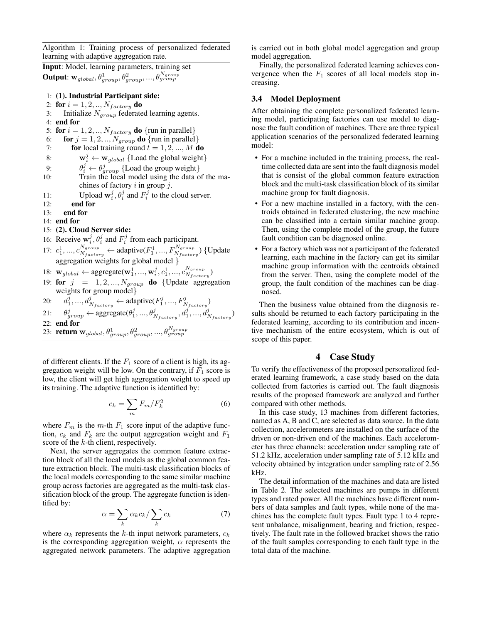Algorithm 1: Training process of personalized federated learning with adaptive aggregation rate.

Input: Model, learning parameters, training set Output:  $\mathbf{w}_{global}, \theta^1_{group}, \theta^2_{group}, ..., \theta^{N_{group}}_{group}$ 

- 1: (1). Industrial Participant side:
- 2: for  $i = 1, 2, ..., N_{factory}$  do
- 3: Initialize  $N_{group}$  federated learning agents.
- 4: end for
- 5: for  $i = 1, 2, \dots, N_{factory}$  do {run in parallel}
- 6: **for**  $j = 1, 2, ..., N_{group}$  **do** {run in parallel}
- 7: **for** local training round  $\vec{t} = 1, 2, ..., M$  do
- 8:  $\mathbf{w}_i^j \leftarrow \mathbf{w}_{global} \{\text{Load the global weight}\}\$
- 9:  $\theta_i^j \leftarrow \theta_{group}^j$  {Load the group weight}
- 10: Train the local model using the data of the machines of factory  $i$  in group  $j$ .
- 11: Upload  $\mathbf{w}_i^j$ ,  $\theta_i^j$  and  $F_i^j$  to the cloud server.
- 12: end for
- 13: end for
- 14: end for

## 15: (2). Cloud Server side:

- 16: Receive  $\mathbf{w}_i^j$ ,  $\theta_i^j$  and  $F_i^j$  from each participant.  $_i, v_i$  and  $r_i$
- 17:  $c_1^1, ..., c_{N_{factor}}^{N_{group}}$  $\frac{N_{group}}{N_{factor}} \leftarrow$  adaptive $(F_1^1, ..., F_{N_{factor}}^{N_{group}})$  {Update aggregation weights for global model }
- 18:  $\mathbf{w}_{global} \leftarrow \text{aggregate}(\mathbf{w}_1^1, ..., \mathbf{w}_i^j, c_1^1, ..., c_{N_{factor}}^{N_{group}})$  $\frac{N_{group}}{N_{factory}}$
- 19: for  $j = 1, 2, ..., N_{group}$  do {Update aggregation weights for group model}
- $20:$  $j, ..., d_{N_{factory}}^j \leftarrow$  adaptive $(F_1^j, ..., F_{N_{factory}}^j)$
- 21: θ  $j_{group} \leftarrow \text{aggregate}(\theta_1^j,...,\theta_{N_{factory}}^j,d_1^j,...,d_{N_{factory}}^j)$ 22: end for
- 23: **return**  $\mathbf{w}_{global}, \theta_{group}^1, \theta_{group}^2, ..., \theta_{group}^{N_{group}}$

of different clients. If the  $F_1$  score of a client is high, its aggregation weight will be low. On the contrary, if  $F_1$  score is low, the client will get high aggregation weight to speed up its training. The adaptive function is identified by:

$$
c_k = \sum_m F_m / F_k^2 \tag{6}
$$

where  $F_m$  is the m-th  $F_1$  score input of the adaptive function,  $c_k$  and  $F_k$  are the output aggregation weight and  $F_1$ score of the k-th client, respectively.

Next, the server aggregates the common feature extraction block of all the local models as the global common feature extraction block. The multi-task classification blocks of the local models corresponding to the same similar machine group across factories are aggregated as the multi-task classification block of the group. The aggregate function is identified by:

$$
\alpha = \sum_{k} \alpha_{k} c_{k} / \sum_{k} c_{k} \tag{7}
$$

where  $\alpha_k$  represents the k-th input network parameters,  $c_k$ is the corresponding aggregation weight,  $\alpha$  represents the aggregated network parameters. The adaptive aggregation

is carried out in both global model aggregation and group model aggregation.

Finally, the personalized federated learning achieves convergence when the  $F_1$  scores of all local models stop increasing.

#### 3.4 Model Deployment

After obtaining the complete personalized federated learning model, participating factories can use model to diagnose the fault condition of machines. There are three typical application scenarios of the personalized federated learning model:

- For a machine included in the training process, the realtime collected data are sent into the fault diagnosis model that is consist of the global common feature extraction block and the multi-task classification block of its similar machine group for fault diagnosis.
- For a new machine installed in a factory, with the centroids obtained in federated clustering, the new machine can be classified into a certain similar machine group. Then, using the complete model of the group, the future fault condition can be diagnosed online.
- For a factory which was not a participant of the federated learning, each machine in the factory can get its similar machine group information with the centroids obtained from the server. Then, using the complete model of the group, the fault condition of the machines can be diagnosed.

Then the business value obtained from the diagnosis results should be returned to each factory participating in the federated learning, according to its contribution and incentive mechanism of the entire ecosystem, which is out of scope of this paper.

### 4 Case Study

To verify the effectiveness of the proposed personalized federated learning framework, a case study based on the data collected from factories is carried out. The fault diagnosis results of the proposed framework are analyzed and further compared with other methods.

In this case study, 13 machines from different factories, named as A, B and C, are selected as data source. In the data collection, accelerometers are installed on the surface of the driven or non-driven end of the machines. Each accelerometer has three channels: acceleration under sampling rate of 51.2 kHz, acceleration under sampling rate of 5.12 kHz and velocity obtained by integration under sampling rate of 2.56 kHz.

The detail information of the machines and data are listed in Table 2. The selected machines are pumps in different types and rated power. All the machines have different numbers of data samples and fault types, while none of the machines has the complete fault types. Fault type 1 to 4 represent unbalance, misalignment, bearing and friction, respectively. The fault rate in the followed bracket shows the ratio of the fault samples corresponding to each fault type in the total data of the machine.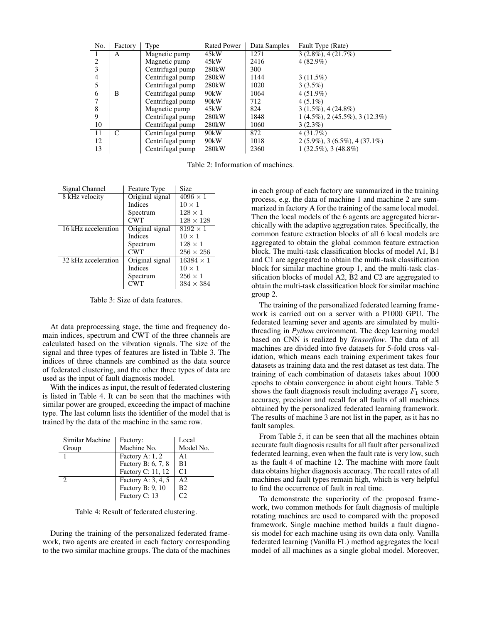| No.          | Factory | Type             | <b>Rated Power</b> | Data Samples | Fault Type (Rate)                       |
|--------------|---------|------------------|--------------------|--------------|-----------------------------------------|
| $\mathbf{I}$ | A       | Magnetic pump    | 45kW               | 1271         | $3(2.8\%)$ , $4(21.7\%)$                |
| 2            |         | Magnetic pump    | 45kW               | 2416         | $4(82.9\%)$                             |
|              |         | Centrifugal pump | 280 <sub>k</sub> W | 300          |                                         |
| 4            |         | Centrifugal pump | 280 <sub>k</sub> W | 1144         | $3(11.5\%)$                             |
| 5            |         | Centrifugal pump | 280 <sub>k</sub> W | 1020         | $3(3.5\%)$                              |
| 6            | B       | Centrifugal pump | 90kW               | 1064         | $4(51.9\%)$                             |
|              |         | Centrifugal pump | 90kW               | 712          | $4(5.1\%)$                              |
| 8            |         | Magnetic pump    | 45kW               | 824          | $3(1.5\%), 4(24.8\%)$                   |
| 9            |         | Centrifugal pump | 280 <sub>k</sub> W | 1848         | $1(4.5\%)$ , $2(45.5\%)$ , $3(12.3\%)$  |
| 10           |         | Centrifugal pump | 280 <sub>k</sub> W | 1060         | $3(2.3\%)$                              |
| 11           | C       | Centrifugal pump | 90kW               | 872          | 4(31.7%)                                |
| 12           |         | Centrifugal pump | 90kW               | 1018         | $2(5.9\%)$ , 3 $(6.5\%)$ , 4 $(37.1\%)$ |
| 13           |         | Centrifugal pump | 280 <sub>k</sub> W | 2360         | $1(32.5\%), 3(48.8\%)$                  |

Table 2: Information of machines.

| Signal Channel      | Feature Type    | Size             |
|---------------------|-----------------|------------------|
| 8 kHz velocity      | Original signal | $4096 \times 1$  |
|                     | <b>Indices</b>  | $10 \times 1$    |
|                     | Spectrum        | $128 \times 1$   |
|                     | <b>CWT</b>      | $128 \times 128$ |
| 16 kHz acceleration | Original signal | $8192 \times 1$  |
|                     | <b>Indices</b>  | $10 \times 1$    |
|                     | Spectrum        | $128 \times 1$   |
|                     | <b>CWT</b>      | $256 \times 256$ |
| 32 kHz acceleration | Original signal | $16384 \times 1$ |
|                     | <b>Indices</b>  | $10 \times 1$    |
|                     | Spectrum        | $256 \times 1$   |
|                     | <b>CWT</b>      | $384 \times 384$ |

Table 3: Size of data features.

At data preprocessing stage, the time and frequency domain indices, spectrum and CWT of the three channels are calculated based on the vibration signals. The size of the signal and three types of features are listed in Table 3. The indices of three channels are combined as the data source of federated clustering, and the other three types of data are used as the input of fault diagnosis model.

With the indices as input, the result of federated clustering is listed in Table 4. It can be seen that the machines with similar power are grouped, exceeding the impact of machine type. The last column lists the identifier of the model that is trained by the data of the machine in the same row.

| Similar Machine | Factory:           | Local          |
|-----------------|--------------------|----------------|
| Group           | Machine No.        | Model No.      |
|                 | Factory A: 1, 2    | A1             |
|                 | Factory B: 6, 7, 8 | B1             |
|                 | Factory C: 11, 12  | C <sub>1</sub> |
|                 | Factory A: 3, 4, 5 | A <sub>2</sub> |
|                 | Factory B: 9, 10   | B <sub>2</sub> |
|                 | Factory C: 13      | CΊ             |

Table 4: Result of federated clustering.

During the training of the personalized federated framework, two agents are created in each factory corresponding to the two similar machine groups. The data of the machines

in each group of each factory are summarized in the training process, e.g. the data of machine 1 and machine 2 are summarized in factory A for the training of the same local model. Then the local models of the 6 agents are aggregated hierarchically with the adaptive aggregation rates. Specifically, the common feature extraction blocks of all 6 local models are aggregated to obtain the global common feature extraction block. The multi-task classification blocks of model A1, B1 and C1 are aggregated to obtain the multi-task classification block for similar machine group 1, and the multi-task classification blocks of model  $\overline{A2}$ ,  $\overline{B2}$  and  $\overline{C2}$  are aggregated to obtain the multi-task classification block for similar machine group 2.

The training of the personalized federated learning framework is carried out on a server with a P1000 GPU. The federated learning sever and agents are simulated by multithreading in *Python* environment. The deep learning model based on CNN is realized by *Tensorflow*. The data of all machines are divided into five datasets for 5-fold cross validation, which means each training experiment takes four datasets as training data and the rest dataset as test data. The training of each combination of datasets takes about 1000 epochs to obtain convergence in about eight hours. Table 5 shows the fault diagnosis result including average  $F_1$  score, accuracy, precision and recall for all faults of all machines obtained by the personalized federated learning framework. The results of machine 3 are not list in the paper, as it has no fault samples.

From Table 5, it can be seen that all the machines obtain accurate fault diagnosis results for all fault after personalized federated learning, even when the fault rate is very low, such as the fault 4 of machine 12. The machine with more fault data obtains higher diagnosis accuracy. The recall rates of all machines and fault types remain high, which is very helpful to find the occurrence of fault in real time.

To demonstrate the superiority of the proposed framework, two common methods for fault diagnosis of multiple rotating machines are used to compared with the proposed framework. Single machine method builds a fault diagnosis model for each machine using its own data only. Vanilla federated learning (Vanilla FL) method aggregates the local model of all machines as a single global model. Moreover,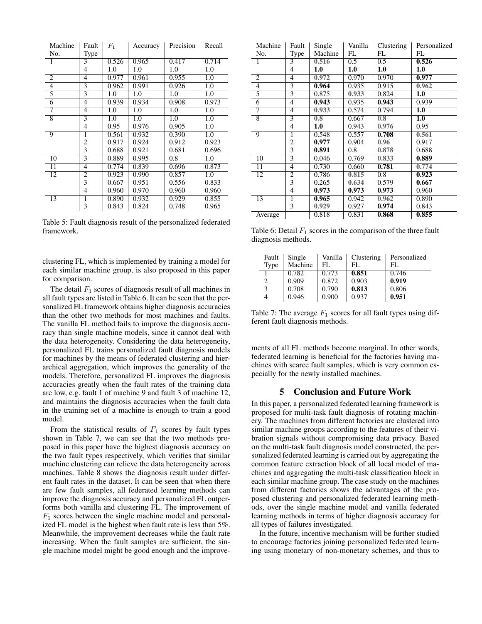| Machine        | Fault          | $F_1$ | Accuracy | Precision | Recall |
|----------------|----------------|-------|----------|-----------|--------|
| No.            | Type           |       |          |           |        |
| 1              | 3              | 0.526 | 0.965    | 0.417     | 0.714  |
|                | 4              | 1.0   | 1.0      | 1.0       | 1.0    |
| 2              | 4              | 0.977 | 0.961    | 0.955     | 1.0    |
| $\overline{4}$ | 3              | 0.962 | 0.991    | 0.926     | 1.0    |
| $\overline{5}$ | $\overline{3}$ | 1.0   | 1.0      | 1.0       | 1.0    |
| 6              | 4              | 0.939 | 0.934    | 0.908     | 0.973  |
| 7              | 4              | 1.0   | 1.0      | 1.0       | 1.0    |
| $\overline{8}$ | 3              | 1.0   | 1.0      | 1.0       | 1.0    |
|                | 4              | 0.95  | 0.976    | 0.905     | 1.0    |
| 9              | 1              | 0.561 | 0.932    | 0.390     | 1.0    |
|                | 2              | 0.917 | 0.924    | 0.912     | 0.923  |
|                | 3              | 0.688 | 0.921    | 0.681     | 0.696  |
| 10             | $\overline{3}$ | 0.889 | 0.995    | 0.8       | 1.0    |
| 11             | 4              | 0.774 | 0.839    | 0.696     | 0.873  |
| 12             | 2              | 0.923 | 0.990    | 0.857     | 1.0    |
|                | 3              | 0.667 | 0.951    | 0.556     | 0.833  |
|                | 4              | 0.960 | 0.970    | 0.960     | 0.960  |
| 13             | 1              | 0.890 | 0.932    | 0.929     | 0.855  |
|                | 3              | 0.843 | 0.824    | 0.748     | 0.965  |

Table 5: Fault diagnosis result of the personalized federated framework.

clustering FL, which is implemented by training a model for each similar machine group, is also proposed in this paper for comparison.

The detail  $F_1$  scores of diagnosis result of all machines in all fault types are listed in Table 6. It can be seen that the personalized FL framework obtains higher diagnosis accuracies than the other two methods for most machines and faults. The vanilla FL method fails to improve the diagnosis accuracy than single machine models, since it cannot deal with the data heterogeneity. Considering the data heterogeneity, personalized FL trains personalized fault diagnosis models for machines by the means of federated clustering and hierarchical aggregation, which improves the generality of the models. Therefore, personalized FL improves the diagnosis accuracies greatly when the fault rates of the training data are low, e.g. fault 1 of machine 9 and fault 3 of machine 12, and maintains the diagnosis accuracies when the fault data in the training set of a machine is enough to train a good model.

From the statistical results of  $F_1$  scores by fault types shown in Table 7, we can see that the two methods proposed in this paper have the highest diagnosis accuracy on the two fault types respectively, which verifies that similar machine clustering can relieve the data heterogeneity across machines. Table 8 shows the diagnosis result under different fault rates in the dataset. It can be seen that when there are few fault samples, all federated learning methods can improve the diagnosis accuracy and personalized FL outperforms both vanilla and clustering FL. The improvement of  $F_1$  scores between the single machine model and personalized FL model is the highest when fault rate is less than 5%. Meanwhile, the improvement decreases while the fault rate increasing. When the fault samples are sufficient, the single machine model might be good enough and the improve-

| Machine         | Fault          | Single  | Vanilla | Clustering | Personalized |
|-----------------|----------------|---------|---------|------------|--------------|
| No.             | Type           | Machine | FL      | FL         | FL           |
| 1               | 3              | 0.516   | 0.5     | 0.5        | 0.526        |
|                 | 4              | 1.0     | 1.0     | 1.0        | 1.0          |
| 2               | 4              | 0.972   | 0.970   | 0.970      | 0.977        |
| $\overline{4}$  | 3              | 0.964   | 0.935   | 0.915      | 0.962        |
| $\overline{5}$  | 3              | 0.875   | 0.933   | 0.824      | 1.0          |
| $\overline{6}$  | $\overline{4}$ | 0.943   | 0.935   | 0.943      | 0.939        |
| 7               | 4              | 0.933   | 0.574   | 0.794      | 1.0          |
| $\overline{8}$  | 3              | 0.8     | 0.667   | 0.8        | 1.0          |
|                 | 4              | 1.0     | 0.943   | 0.976      | 0.95         |
| 9               | 1              | 0.548   | 0.557   | 0.708      | 0.561        |
|                 | 2              | 0.977   | 0.904   | 0.96       | 0.917        |
|                 | 3              | 0.891   | 0.8     | 0.878      | 0.688        |
| $\overline{10}$ | $\overline{3}$ | 0.046   | 0.769   | 0.833      | 0.889        |
| 11              | 4              | 0.730   | 0.660   | 0.781      | 0.774        |
| $\overline{12}$ | 2              | 0.786   | 0.815   | 0.8        | 0.923        |
|                 | 3              | 0.265   | 0.634   | 0.579      | 0.667        |
|                 | 4              | 0.973   | 0.973   | 0.973      | 0.960        |
| 13              | 1              | 0.965   | 0.942   | 0.962      | 0.890        |
|                 | 3              | 0.929   | 0.927   | 0.974      | 0.843        |
| Average         |                | 0.818   | 0.831   | 0.868      | 0.855        |

Table 6: Detail  $F_1$  scores in the comparison of the three fault diagnosis methods.

| Fault | Single  | Vanilla | Clustering | Personalized |
|-------|---------|---------|------------|--------------|
| Type  | Machine | FL.     | FL.        | FL.          |
|       | 0.782   | 0.773   | 0.851      | 0.746        |
| 2     | 0.909   | 0.872   | 0.903      | 0.919        |
| 3     | 0.708   | 0.790   | 0.813      | 0.806        |
| 4     | 0.946   | 0.900   | 0.937      | 0.951        |

Table 7: The average  $F_1$  scores for all fault types using different fault diagnosis methods.

ments of all FL methods become marginal. In other words, federated learning is beneficial for the factories having machines with scarce fault samples, which is very common especially for the newly installed machines.

#### 5 Conclusion and Future Work

In this paper, a personalized federated learning framework is proposed for multi-task fault diagnosis of rotating machinery. The machines from different factories are clustered into similar machine groups according to the features of their vibration signals without compromising data privacy. Based on the multi-task fault diagnosis model constructed, the personalized federated learning is carried out by aggregating the common feature extraction block of all local model of machines and aggregating the multi-task classification block in each similar machine group. The case study on the machines from different factories shows the advantages of the proposed clustering and personalized federated learning methods, over the single machine model and vanilla federated learning methods in terms of higher diagnosis accuracy for all types of failures investigated.

In the future, incentive mechanism will be further studied to encourage factories joining personalized federated learning using monetary of non-monetary schemes, and thus to